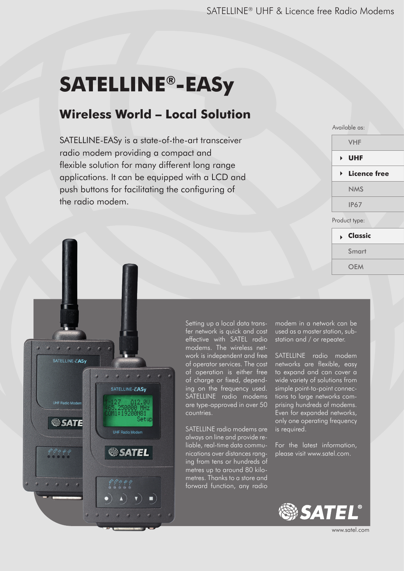# **SATELLINE®-EASy**

#### **Wireless World – Local Solution**

SATELLINE-EASy is a state-of-the-art transceiver radio modem providing a compact and flexible solution for many different long range applications. It can be equipped with a LCD and push buttons for facilitating the configuring of the radio modem.

| Available as:                 |
|-------------------------------|
| <b>VHF</b>                    |
| ▶ UHF                         |
| $\triangleright$ Licence free |
| <b>NMS</b>                    |
| <b>IP67</b>                   |
| Product type:                 |
| <b>Classic</b>                |
| Smart                         |
| <b>OEM</b>                    |
|                               |



Setting up a local data transfer network is quick and cost effective with SATEL radio modems. The wireless network is independent and free of operator services. The cost of operation is either free of charge or fixed, depending on the frequency used. SATELLINE radio modems are type-approved in over 50 countries.

SATELLINE radio modems are always on line and provide reliable, real-time data communications over distances ranging from tens or hundreds of metres up to around 80 kilometres. Thanks to a store and forward function, any radio

modem in a network can be used as a master station, substation and / or repeater.

SATELLINE radio modem networks are flexible, easy to expand and can cover a wide variety of solutions from simple point-to-point connections to large networks comprising hundreds of modems. Even for expanded networks, only one operating frequency is required.

For the latest information, please visit www.satel.com.